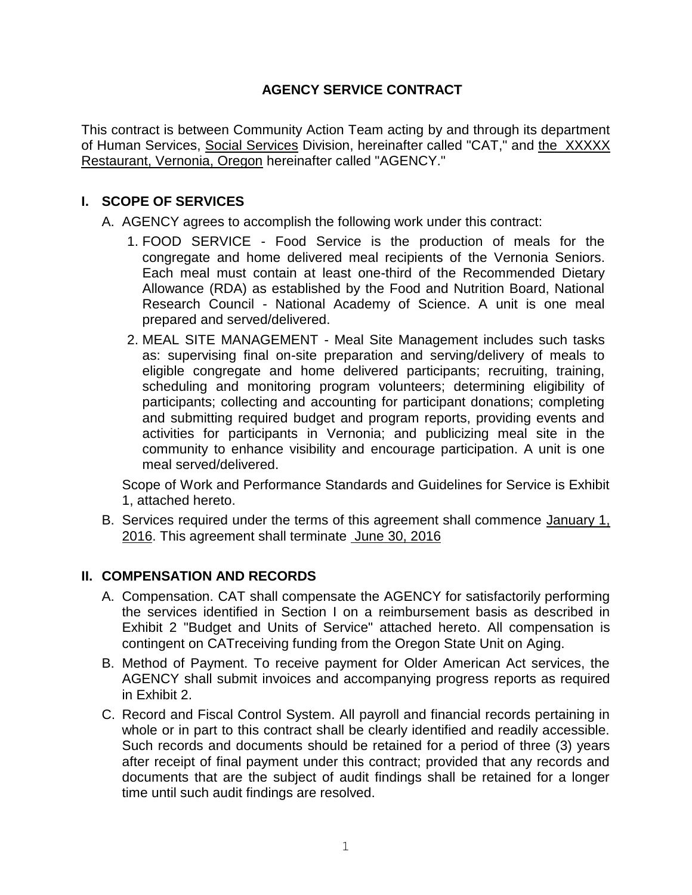## **AGENCY SERVICE CONTRACT**

This contract is between Community Action Team acting by and through its department of Human Services, Social Services Division, hereinafter called "CAT," and the XXXXX Restaurant, Vernonia, Oregon hereinafter called "AGENCY."

#### **I. SCOPE OF SERVICES**

- A. AGENCY agrees to accomplish the following work under this contract:
	- 1. FOOD SERVICE Food Service is the production of meals for the congregate and home delivered meal recipients of the Vernonia Seniors. Each meal must contain at least one-third of the Recommended Dietary Allowance (RDA) as established by the Food and Nutrition Board, National Research Council - National Academy of Science. A unit is one meal prepared and served/delivered.
	- 2. MEAL SITE MANAGEMENT Meal Site Management includes such tasks as: supervising final on-site preparation and serving/delivery of meals to eligible congregate and home delivered participants; recruiting, training, scheduling and monitoring program volunteers; determining eligibility of participants; collecting and accounting for participant donations; completing and submitting required budget and program reports, providing events and activities for participants in Vernonia; and publicizing meal site in the community to enhance visibility and encourage participation. A unit is one meal served/delivered.

Scope of Work and Performance Standards and Guidelines for Service is Exhibit 1, attached hereto.

B. Services required under the terms of this agreement shall commence January 1, 2016. This agreement shall terminate June 30, 2016

### **II. COMPENSATION AND RECORDS**

- A. Compensation. CAT shall compensate the AGENCY for satisfactorily performing the services identified in Section I on a reimbursement basis as described in Exhibit 2 "Budget and Units of Service" attached hereto. All compensation is contingent on CATreceiving funding from the Oregon State Unit on Aging.
- B. Method of Payment. To receive payment for Older American Act services, the AGENCY shall submit invoices and accompanying progress reports as required in Exhibit 2.
- C. Record and Fiscal Control System. All payroll and financial records pertaining in whole or in part to this contract shall be clearly identified and readily accessible. Such records and documents should be retained for a period of three (3) years after receipt of final payment under this contract; provided that any records and documents that are the subject of audit findings shall be retained for a longer time until such audit findings are resolved.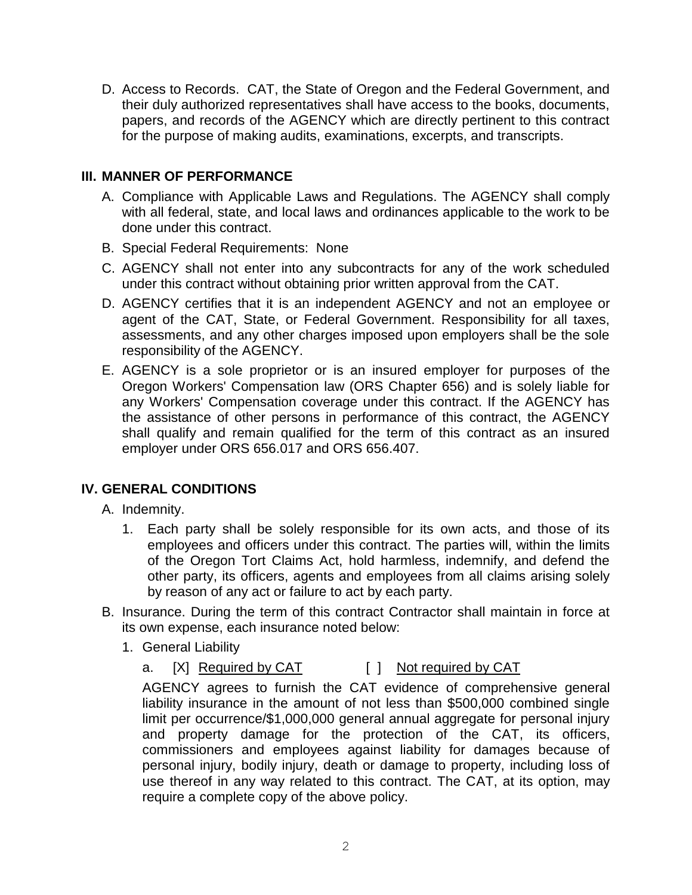D. Access to Records. CAT, the State of Oregon and the Federal Government, and their duly authorized representatives shall have access to the books, documents, papers, and records of the AGENCY which are directly pertinent to this contract for the purpose of making audits, examinations, excerpts, and transcripts.

### **III. MANNER OF PERFORMANCE**

- A. Compliance with Applicable Laws and Regulations. The AGENCY shall comply with all federal, state, and local laws and ordinances applicable to the work to be done under this contract.
- B. Special Federal Requirements: None
- C. AGENCY shall not enter into any subcontracts for any of the work scheduled under this contract without obtaining prior written approval from the CAT.
- D. AGENCY certifies that it is an independent AGENCY and not an employee or agent of the CAT, State, or Federal Government. Responsibility for all taxes, assessments, and any other charges imposed upon employers shall be the sole responsibility of the AGENCY.
- E. AGENCY is a sole proprietor or is an insured employer for purposes of the Oregon Workers' Compensation law (ORS Chapter 656) and is solely liable for any Workers' Compensation coverage under this contract. If the AGENCY has the assistance of other persons in performance of this contract, the AGENCY shall qualify and remain qualified for the term of this contract as an insured employer under ORS 656.017 and ORS 656.407.

### **IV. GENERAL CONDITIONS**

A. Indemnity.

- 1. Each party shall be solely responsible for its own acts, and those of its employees and officers under this contract. The parties will, within the limits of the Oregon Tort Claims Act, hold harmless, indemnify, and defend the other party, its officers, agents and employees from all claims arising solely by reason of any act or failure to act by each party.
- B. Insurance. During the term of this contract Contractor shall maintain in force at its own expense, each insurance noted below:
	- 1. General Liability
		- a. [X] Required by CAT [ ] Not required by CAT

AGENCY agrees to furnish the CAT evidence of comprehensive general liability insurance in the amount of not less than \$500,000 combined single limit per occurrence/\$1,000,000 general annual aggregate for personal injury and property damage for the protection of the CAT, its officers, commissioners and employees against liability for damages because of personal injury, bodily injury, death or damage to property, including loss of use thereof in any way related to this contract. The CAT, at its option, may require a complete copy of the above policy.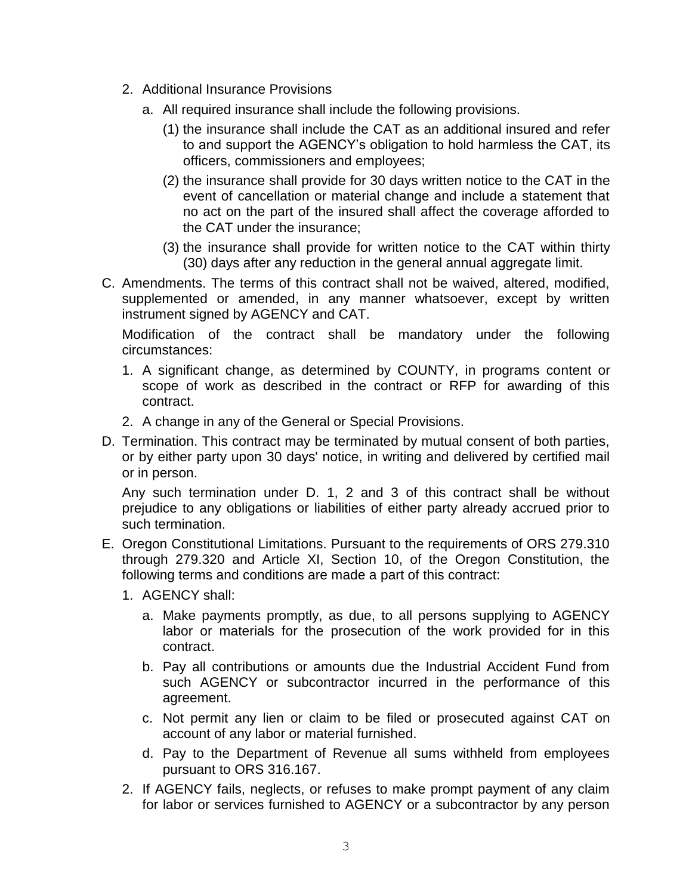- 2. Additional Insurance Provisions
	- a. All required insurance shall include the following provisions.
		- (1) the insurance shall include the CAT as an additional insured and refer to and support the AGENCY's obligation to hold harmless the CAT, its officers, commissioners and employees;
		- (2) the insurance shall provide for 30 days written notice to the CAT in the event of cancellation or material change and include a statement that no act on the part of the insured shall affect the coverage afforded to the CAT under the insurance;
		- (3) the insurance shall provide for written notice to the CAT within thirty (30) days after any reduction in the general annual aggregate limit.
- C. Amendments. The terms of this contract shall not be waived, altered, modified, supplemented or amended, in any manner whatsoever, except by written instrument signed by AGENCY and CAT.

Modification of the contract shall be mandatory under the following circumstances:

- 1. A significant change, as determined by COUNTY, in programs content or scope of work as described in the contract or RFP for awarding of this contract.
- 2. A change in any of the General or Special Provisions.
- D. Termination. This contract may be terminated by mutual consent of both parties, or by either party upon 30 days' notice, in writing and delivered by certified mail or in person.

Any such termination under D. 1, 2 and 3 of this contract shall be without prejudice to any obligations or liabilities of either party already accrued prior to such termination.

- E. Oregon Constitutional Limitations. Pursuant to the requirements of ORS 279.310 through 279.320 and Article XI, Section 10, of the Oregon Constitution, the following terms and conditions are made a part of this contract:
	- 1. AGENCY shall:
		- a. Make payments promptly, as due, to all persons supplying to AGENCY labor or materials for the prosecution of the work provided for in this contract.
		- b. Pay all contributions or amounts due the Industrial Accident Fund from such AGENCY or subcontractor incurred in the performance of this agreement.
		- c. Not permit any lien or claim to be filed or prosecuted against CAT on account of any labor or material furnished.
		- d. Pay to the Department of Revenue all sums withheld from employees pursuant to ORS 316.167.
	- 2. If AGENCY fails, neglects, or refuses to make prompt payment of any claim for labor or services furnished to AGENCY or a subcontractor by any person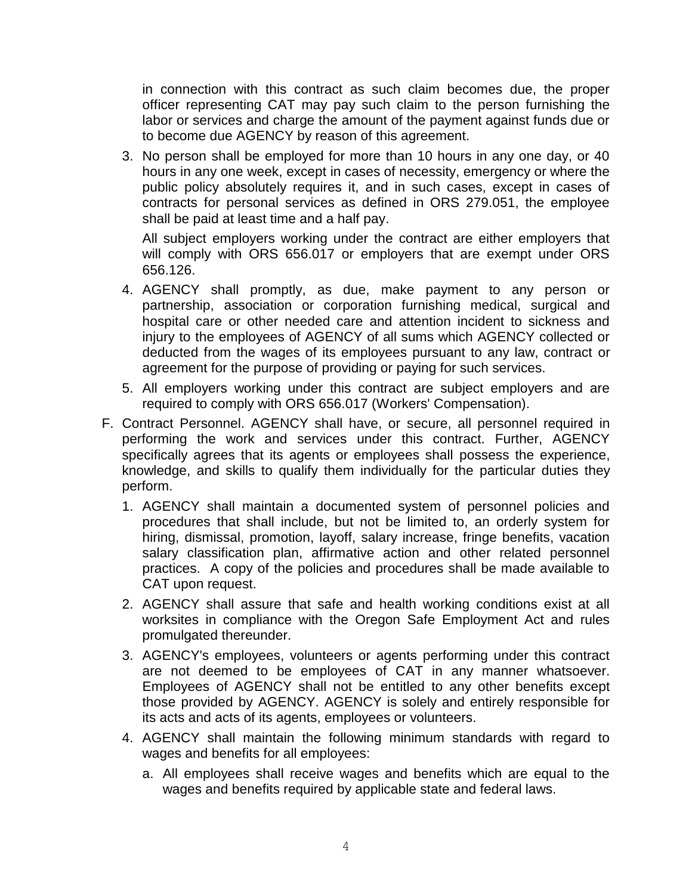in connection with this contract as such claim becomes due, the proper officer representing CAT may pay such claim to the person furnishing the labor or services and charge the amount of the payment against funds due or to become due AGENCY by reason of this agreement.

3. No person shall be employed for more than 10 hours in any one day, or 40 hours in any one week, except in cases of necessity, emergency or where the public policy absolutely requires it, and in such cases, except in cases of contracts for personal services as defined in ORS 279.051, the employee shall be paid at least time and a half pay.

All subject employers working under the contract are either employers that will comply with ORS 656.017 or employers that are exempt under ORS 656.126.

- 4. AGENCY shall promptly, as due, make payment to any person or partnership, association or corporation furnishing medical, surgical and hospital care or other needed care and attention incident to sickness and injury to the employees of AGENCY of all sums which AGENCY collected or deducted from the wages of its employees pursuant to any law, contract or agreement for the purpose of providing or paying for such services.
- 5. All employers working under this contract are subject employers and are required to comply with ORS 656.017 (Workers' Compensation).
- F. Contract Personnel. AGENCY shall have, or secure, all personnel required in performing the work and services under this contract. Further, AGENCY specifically agrees that its agents or employees shall possess the experience, knowledge, and skills to qualify them individually for the particular duties they perform.
	- 1. AGENCY shall maintain a documented system of personnel policies and procedures that shall include, but not be limited to, an orderly system for hiring, dismissal, promotion, layoff, salary increase, fringe benefits, vacation salary classification plan, affirmative action and other related personnel practices. A copy of the policies and procedures shall be made available to CAT upon request.
	- 2. AGENCY shall assure that safe and health working conditions exist at all worksites in compliance with the Oregon Safe Employment Act and rules promulgated thereunder.
	- 3. AGENCY's employees, volunteers or agents performing under this contract are not deemed to be employees of CAT in any manner whatsoever. Employees of AGENCY shall not be entitled to any other benefits except those provided by AGENCY. AGENCY is solely and entirely responsible for its acts and acts of its agents, employees or volunteers.
	- 4. AGENCY shall maintain the following minimum standards with regard to wages and benefits for all employees:
		- a. All employees shall receive wages and benefits which are equal to the wages and benefits required by applicable state and federal laws.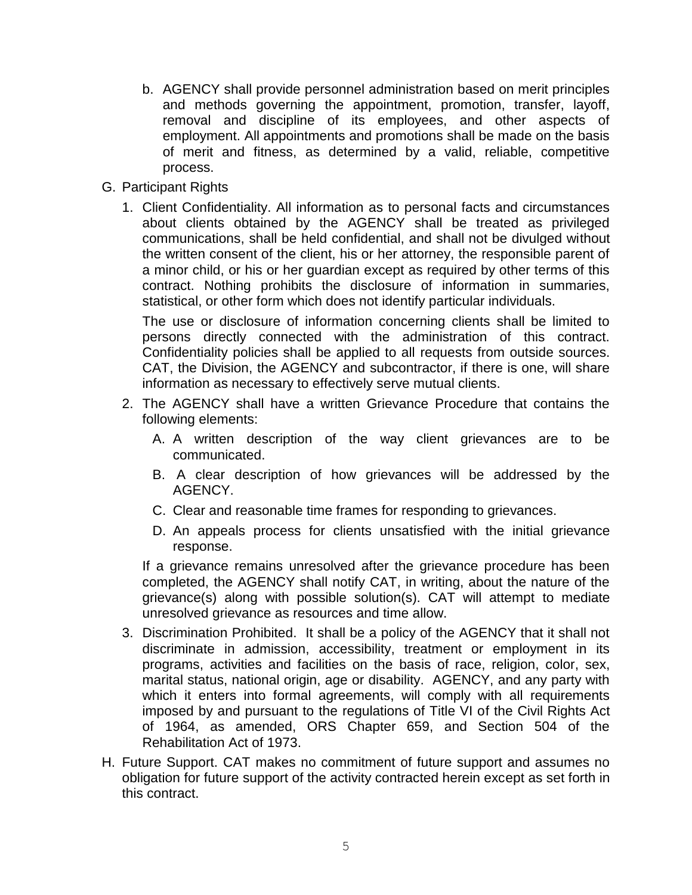- b. AGENCY shall provide personnel administration based on merit principles and methods governing the appointment, promotion, transfer, layoff, removal and discipline of its employees, and other aspects of employment. All appointments and promotions shall be made on the basis of merit and fitness, as determined by a valid, reliable, competitive process.
- G. Participant Rights
	- 1. Client Confidentiality. All information as to personal facts and circumstances about clients obtained by the AGENCY shall be treated as privileged communications, shall be held confidential, and shall not be divulged without the written consent of the client, his or her attorney, the responsible parent of a minor child, or his or her guardian except as required by other terms of this contract. Nothing prohibits the disclosure of information in summaries, statistical, or other form which does not identify particular individuals.

The use or disclosure of information concerning clients shall be limited to persons directly connected with the administration of this contract. Confidentiality policies shall be applied to all requests from outside sources. CAT, the Division, the AGENCY and subcontractor, if there is one, will share information as necessary to effectively serve mutual clients.

- 2. The AGENCY shall have a written Grievance Procedure that contains the following elements:
	- A. A written description of the way client grievances are to be communicated.
	- B. A clear description of how grievances will be addressed by the AGENCY.
	- C. Clear and reasonable time frames for responding to grievances.
	- D. An appeals process for clients unsatisfied with the initial grievance response.

If a grievance remains unresolved after the grievance procedure has been completed, the AGENCY shall notify CAT, in writing, about the nature of the grievance(s) along with possible solution(s). CAT will attempt to mediate unresolved grievance as resources and time allow.

- 3. Discrimination Prohibited. It shall be a policy of the AGENCY that it shall not discriminate in admission, accessibility, treatment or employment in its programs, activities and facilities on the basis of race, religion, color, sex, marital status, national origin, age or disability. AGENCY, and any party with which it enters into formal agreements, will comply with all requirements imposed by and pursuant to the regulations of Title VI of the Civil Rights Act of 1964, as amended, ORS Chapter 659, and Section 504 of the Rehabilitation Act of 1973.
- H. Future Support. CAT makes no commitment of future support and assumes no obligation for future support of the activity contracted herein except as set forth in this contract.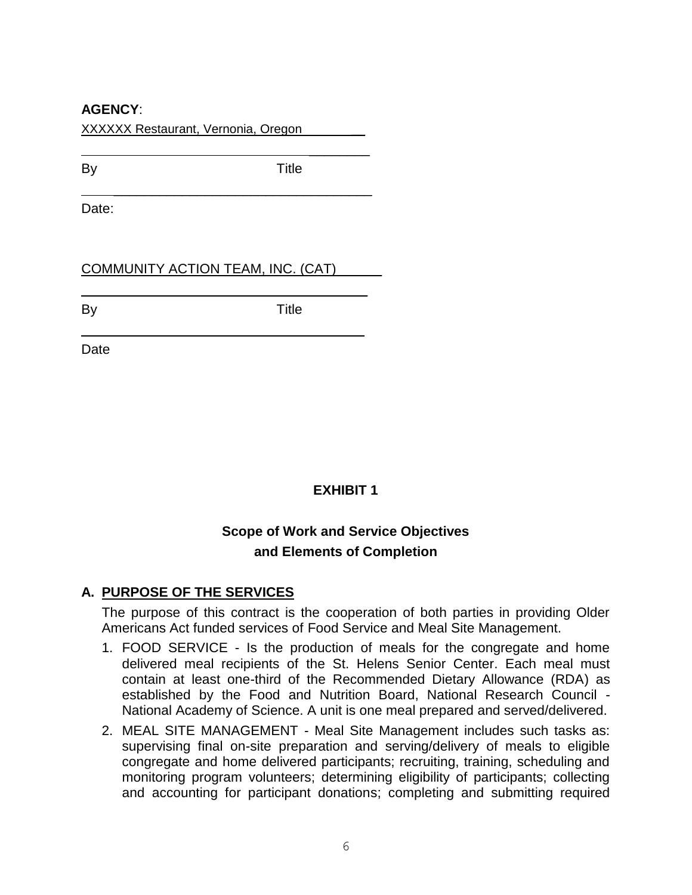### **AGENCY**:

XXXXXX Restaurant, Vernonia, Oregon \_\_

\_\_\_\_\_\_\_\_\_\_\_\_\_\_\_\_\_\_\_\_\_\_\_\_\_\_\_\_\_\_\_\_\_\_

\_\_\_\_\_\_\_\_\_\_\_\_\_\_\_\_\_\_\_\_\_\_\_\_\_\_\_\_\_\_\_\_\_

By Title

 $\overline{\phantom{a}}$ 

Date:

COMMUNITY ACTION TEAM, INC. (CAT)\_\_\_\_\_\_

By **Title** 

 $\overline{\phantom{a}}$ 

Date

# **EXHIBIT 1**

# **Scope of Work and Service Objectives and Elements of Completion**

# **A. PURPOSE OF THE SERVICES**

The purpose of this contract is the cooperation of both parties in providing Older Americans Act funded services of Food Service and Meal Site Management.

- 1. FOOD SERVICE Is the production of meals for the congregate and home delivered meal recipients of the St. Helens Senior Center. Each meal must contain at least one-third of the Recommended Dietary Allowance (RDA) as established by the Food and Nutrition Board, National Research Council - National Academy of Science. A unit is one meal prepared and served/delivered.
- 2. MEAL SITE MANAGEMENT Meal Site Management includes such tasks as: supervising final on-site preparation and serving/delivery of meals to eligible congregate and home delivered participants; recruiting, training, scheduling and monitoring program volunteers; determining eligibility of participants; collecting and accounting for participant donations; completing and submitting required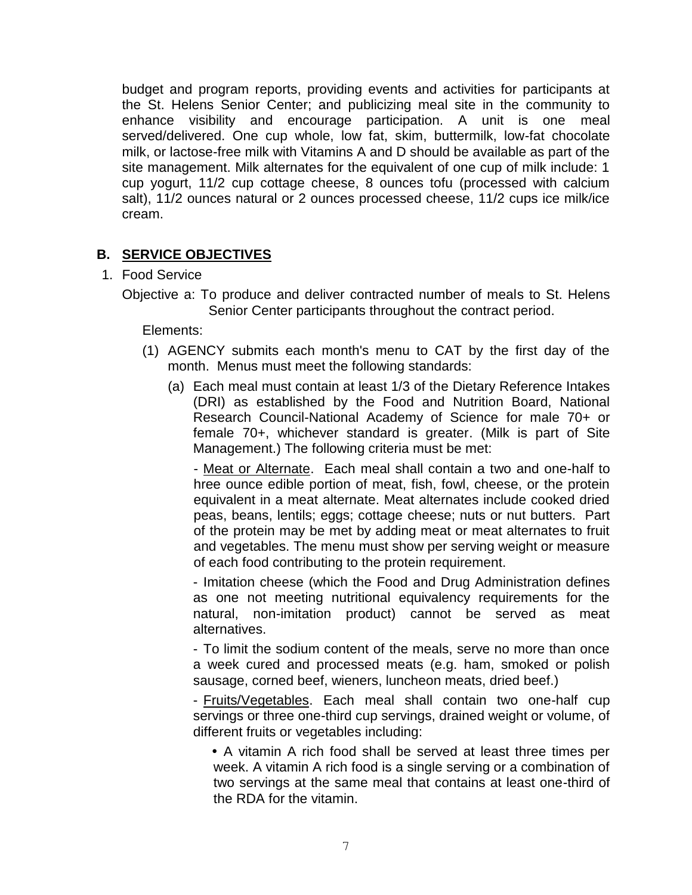budget and program reports, providing events and activities for participants at the St. Helens Senior Center; and publicizing meal site in the community to enhance visibility and encourage participation. A unit is one meal served/delivered. One cup whole, low fat, skim, buttermilk, low-fat chocolate milk, or lactose-free milk with Vitamins A and D should be available as part of the site management. Milk alternates for the equivalent of one cup of milk include: 1 cup yogurt, 11/2 cup cottage cheese, 8 ounces tofu (processed with calcium salt), 11/2 ounces natural or 2 ounces processed cheese, 11/2 cups ice milk/ice cream.

# **B. SERVICE OBJECTIVES**

- 1. Food Service
	- Objective a: To produce and deliver contracted number of meals to St. Helens Senior Center participants throughout the contract period.

Elements:

- (1) AGENCY submits each month's menu to CAT by the first day of the month. Menus must meet the following standards:
	- (a) Each meal must contain at least 1/3 of the Dietary Reference Intakes (DRI) as established by the Food and Nutrition Board, National Research Council-National Academy of Science for male 70+ or female 70+, whichever standard is greater. (Milk is part of Site Management.) The following criteria must be met:

- Meat or Alternate. Each meal shall contain a two and one-half to hree ounce edible portion of meat, fish, fowl, cheese, or the protein equivalent in a meat alternate. Meat alternates include cooked dried peas, beans, lentils; eggs; cottage cheese; nuts or nut butters. Part of the protein may be met by adding meat or meat alternates to fruit and vegetables. The menu must show per serving weight or measure of each food contributing to the protein requirement.

- Imitation cheese (which the Food and Drug Administration defines as one not meeting nutritional equivalency requirements for the natural, non-imitation product) cannot be served as meat alternatives.

- To limit the sodium content of the meals, serve no more than once a week cured and processed meats (e.g. ham, smoked or polish sausage, corned beef, wieners, luncheon meats, dried beef.)

- Fruits/Vegetables. Each meal shall contain two one-half cup servings or three one-third cup servings, drained weight or volume, of different fruits or vegetables including:

 A vitamin A rich food shall be served at least three times per week. A vitamin A rich food is a single serving or a combination of two servings at the same meal that contains at least one-third of the RDA for the vitamin.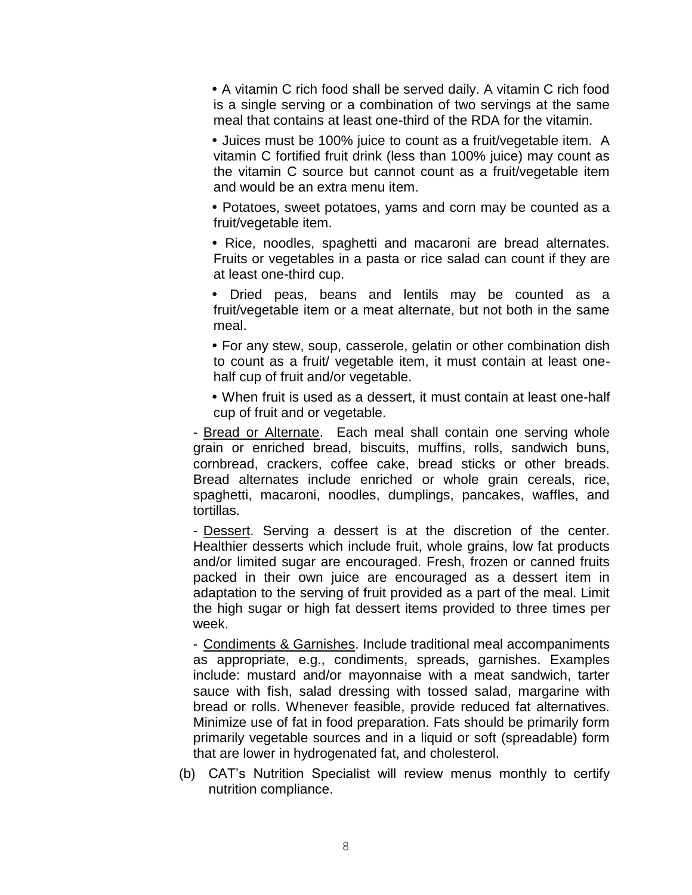• A vitamin C rich food shall be served daily. A vitamin C rich food is a single serving or a combination of two servings at the same meal that contains at least one-third of the RDA for the vitamin.

• Juices must be 100% juice to count as a fruit/vegetable item. A vitamin C fortified fruit drink (less than 100% juice) may count as the vitamin C source but cannot count as a fruit/vegetable item and would be an extra menu item.

 Potatoes, sweet potatoes, yams and corn may be counted as a fruit/vegetable item.

 Rice, noodles, spaghetti and macaroni are bread alternates. Fruits or vegetables in a pasta or rice salad can count if they are at least one-third cup.

 Dried peas, beans and lentils may be counted as a fruit/vegetable item or a meat alternate, but not both in the same meal.

 For any stew, soup, casserole, gelatin or other combination dish to count as a fruit/ vegetable item, it must contain at least onehalf cup of fruit and/or vegetable.

 When fruit is used as a dessert, it must contain at least one-half cup of fruit and or vegetable.

- Bread or Alternate. Each meal shall contain one serving whole grain or enriched bread, biscuits, muffins, rolls, sandwich buns, cornbread, crackers, coffee cake, bread sticks or other breads. Bread alternates include enriched or whole grain cereals, rice, spaghetti, macaroni, noodles, dumplings, pancakes, waffles, and tortillas.

- Dessert. Serving a dessert is at the discretion of the center. Healthier desserts which include fruit, whole grains, low fat products and/or limited sugar are encouraged. Fresh, frozen or canned fruits packed in their own juice are encouraged as a dessert item in adaptation to the serving of fruit provided as a part of the meal. Limit the high sugar or high fat dessert items provided to three times per week.

- Condiments & Garnishes. Include traditional meal accompaniments as appropriate, e.g., condiments, spreads, garnishes. Examples include: mustard and/or mayonnaise with a meat sandwich, tarter sauce with fish, salad dressing with tossed salad, margarine with bread or rolls. Whenever feasible, provide reduced fat alternatives. Minimize use of fat in food preparation. Fats should be primarily form primarily vegetable sources and in a liquid or soft (spreadable) form that are lower in hydrogenated fat, and cholesterol.

(b) CAT's Nutrition Specialist will review menus monthly to certify nutrition compliance.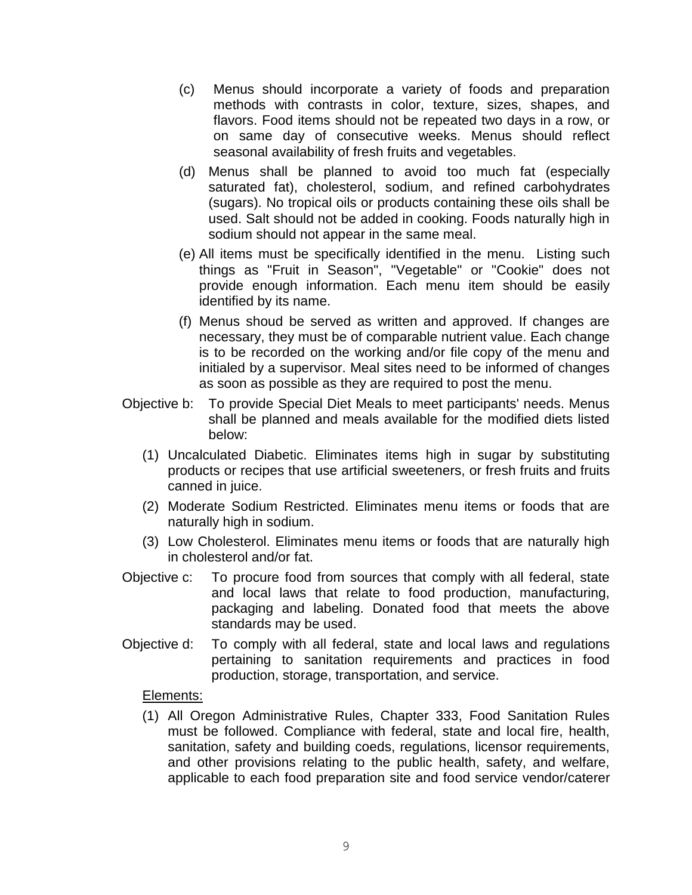- (c) Menus should incorporate a variety of foods and preparation methods with contrasts in color, texture, sizes, shapes, and flavors. Food items should not be repeated two days in a row, or on same day of consecutive weeks. Menus should reflect seasonal availability of fresh fruits and vegetables.
- (d) Menus shall be planned to avoid too much fat (especially saturated fat), cholesterol, sodium, and refined carbohydrates (sugars). No tropical oils or products containing these oils shall be used. Salt should not be added in cooking. Foods naturally high in sodium should not appear in the same meal.
- (e) All items must be specifically identified in the menu. Listing such things as "Fruit in Season", "Vegetable" or "Cookie" does not provide enough information. Each menu item should be easily identified by its name.
- (f) Menus shoud be served as written and approved. If changes are necessary, they must be of comparable nutrient value. Each change is to be recorded on the working and/or file copy of the menu and initialed by a supervisor. Meal sites need to be informed of changes as soon as possible as they are required to post the menu.
- Objective b: To provide Special Diet Meals to meet participants' needs. Menus shall be planned and meals available for the modified diets listed below:
	- (1) Uncalculated Diabetic. Eliminates items high in sugar by substituting products or recipes that use artificial sweeteners, or fresh fruits and fruits canned in juice.
	- (2) Moderate Sodium Restricted. Eliminates menu items or foods that are naturally high in sodium.
	- (3) Low Cholesterol. Eliminates menu items or foods that are naturally high in cholesterol and/or fat.
- Objective c: To procure food from sources that comply with all federal, state and local laws that relate to food production, manufacturing, packaging and labeling. Donated food that meets the above standards may be used.
- Objective d: To comply with all federal, state and local laws and regulations pertaining to sanitation requirements and practices in food production, storage, transportation, and service.

Elements:

(1) All Oregon Administrative Rules, Chapter 333, Food Sanitation Rules must be followed. Compliance with federal, state and local fire, health, sanitation, safety and building coeds, regulations, licensor requirements, and other provisions relating to the public health, safety, and welfare, applicable to each food preparation site and food service vendor/caterer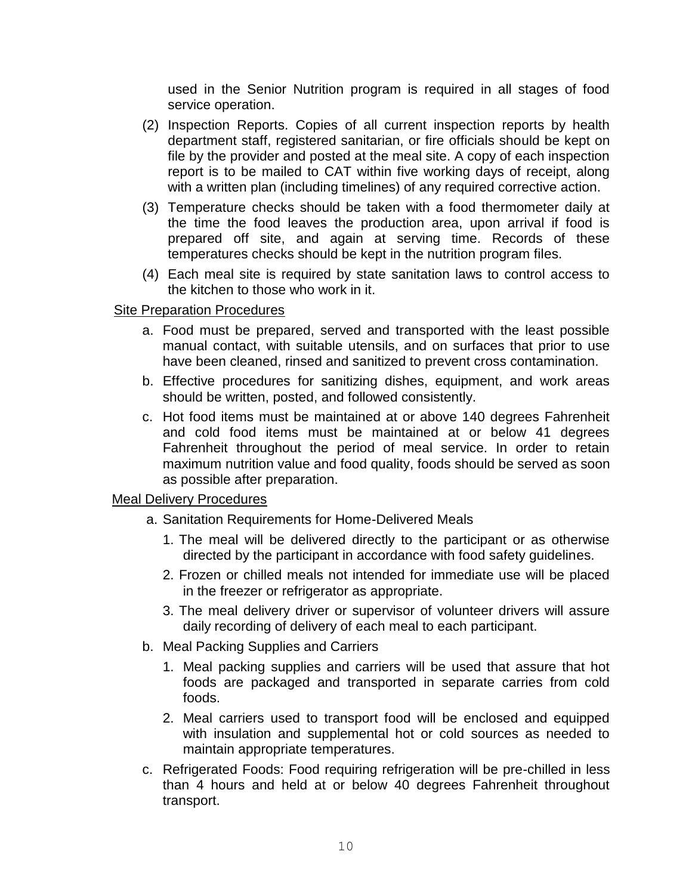used in the Senior Nutrition program is required in all stages of food service operation.

- (2) Inspection Reports. Copies of all current inspection reports by health department staff, registered sanitarian, or fire officials should be kept on file by the provider and posted at the meal site. A copy of each inspection report is to be mailed to CAT within five working days of receipt, along with a written plan (including timelines) of any required corrective action.
- (3) Temperature checks should be taken with a food thermometer daily at the time the food leaves the production area, upon arrival if food is prepared off site, and again at serving time. Records of these temperatures checks should be kept in the nutrition program files.
- (4) Each meal site is required by state sanitation laws to control access to the kitchen to those who work in it.

#### Site Preparation Procedures

- a. Food must be prepared, served and transported with the least possible manual contact, with suitable utensils, and on surfaces that prior to use have been cleaned, rinsed and sanitized to prevent cross contamination.
- b. Effective procedures for sanitizing dishes, equipment, and work areas should be written, posted, and followed consistently.
- c. Hot food items must be maintained at or above 140 degrees Fahrenheit and cold food items must be maintained at or below 41 degrees Fahrenheit throughout the period of meal service. In order to retain maximum nutrition value and food quality, foods should be served as soon as possible after preparation.

#### Meal Delivery Procedures

- a. Sanitation Requirements for Home-Delivered Meals
	- 1. The meal will be delivered directly to the participant or as otherwise directed by the participant in accordance with food safety guidelines.
	- 2. Frozen or chilled meals not intended for immediate use will be placed in the freezer or refrigerator as appropriate.
	- 3. The meal delivery driver or supervisor of volunteer drivers will assure daily recording of delivery of each meal to each participant.
- b. Meal Packing Supplies and Carriers
	- 1. Meal packing supplies and carriers will be used that assure that hot foods are packaged and transported in separate carries from cold foods.
	- 2. Meal carriers used to transport food will be enclosed and equipped with insulation and supplemental hot or cold sources as needed to maintain appropriate temperatures.
- c. Refrigerated Foods: Food requiring refrigeration will be pre-chilled in less than 4 hours and held at or below 40 degrees Fahrenheit throughout transport.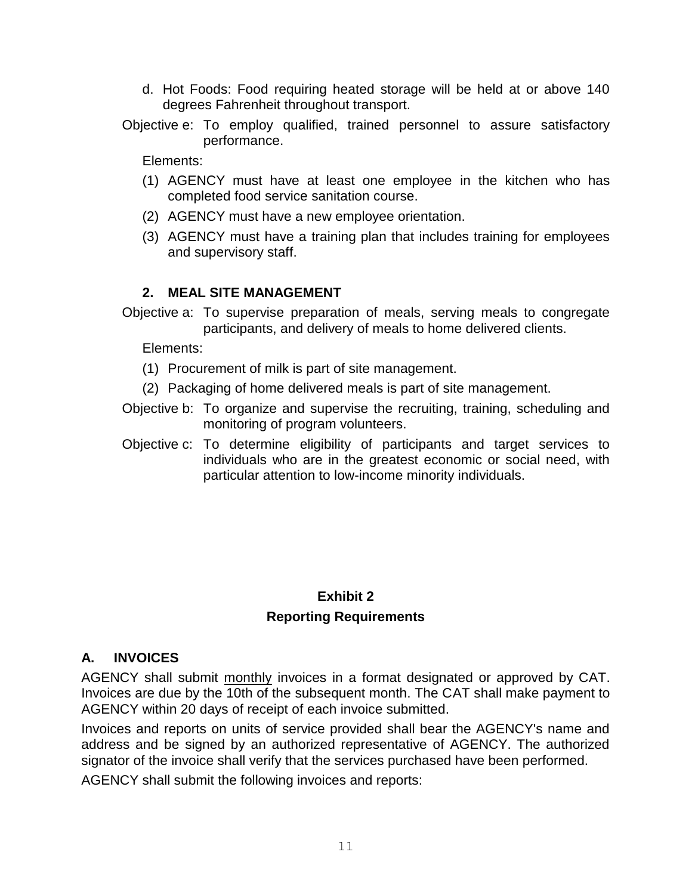- d. Hot Foods: Food requiring heated storage will be held at or above 140 degrees Fahrenheit throughout transport.
- Objective e: To employ qualified, trained personnel to assure satisfactory performance.

Elements:

- (1) AGENCY must have at least one employee in the kitchen who has completed food service sanitation course.
- (2) AGENCY must have a new employee orientation.
- (3) AGENCY must have a training plan that includes training for employees and supervisory staff.

#### **2. MEAL SITE MANAGEMENT**

Objective a: To supervise preparation of meals, serving meals to congregate participants, and delivery of meals to home delivered clients.

Elements:

- (1) Procurement of milk is part of site management.
- (2) Packaging of home delivered meals is part of site management.
- Objective b: To organize and supervise the recruiting, training, scheduling and monitoring of program volunteers.
- Objective c: To determine eligibility of participants and target services to individuals who are in the greatest economic or social need, with particular attention to low-income minority individuals.

## **Exhibit 2 Reporting Requirements**

### **A. INVOICES**

AGENCY shall submit monthly invoices in a format designated or approved by CAT. Invoices are due by the 10th of the subsequent month. The CAT shall make payment to AGENCY within 20 days of receipt of each invoice submitted.

Invoices and reports on units of service provided shall bear the AGENCY's name and address and be signed by an authorized representative of AGENCY. The authorized signator of the invoice shall verify that the services purchased have been performed.

AGENCY shall submit the following invoices and reports: